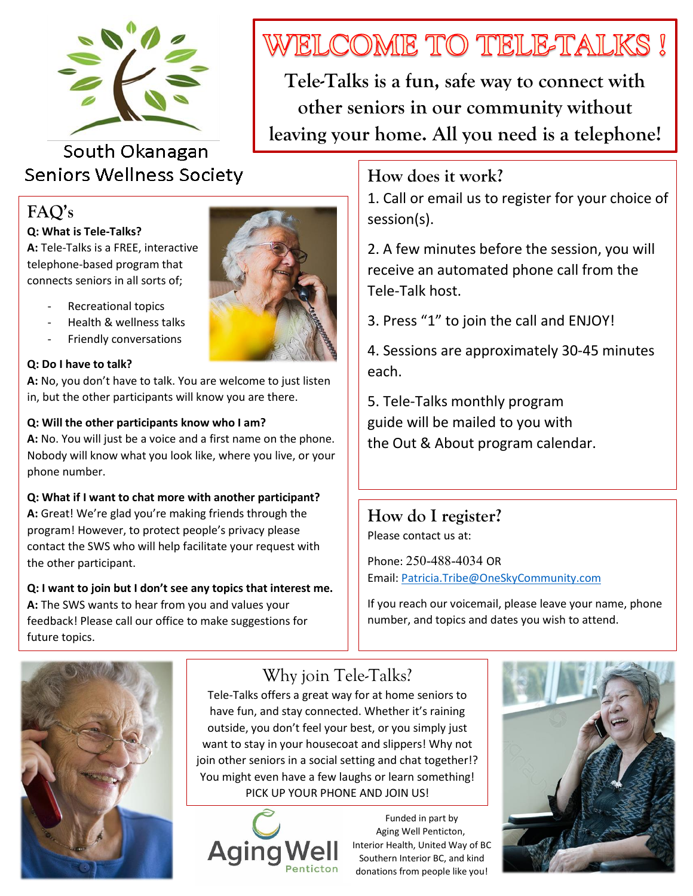

## South Okanagan **Seniors Wellness Society**

## **FAQ's**

#### **Q: What is Tele-Talks?**

**A:** Tele-Talks is a FREE, interactive, telephone-based program that connects seniors in all sorts of;

- Recreational topics
- Health & wellness talks
- Friendly conversations

#### **Q: Do I have to talk?**

**A:** No, you don't have to talk. You are welcome to just listen in, but the other participants will know you are there.

#### **Q: Will the other participants know who I am?**

**A:** No. You will just be a voice and a first name on the phone. Nobody will know what you look like, where you live, or your phone number.

# **Q: What if I want to chat more with another participant?**

**A:** Great! We're glad you're making friends through the program! However, to protect people's privacy please contact the SWS who will help facilitate your request with the other participant.

#### **Q: I want to join but I don't see any topics that interest me. A:** The SWS wants to hear from you and values your feedback! Please call our office to make suggestions for future topics.



**Tele-Talks is a fun, safe way to connect with other seniors in our community without leaving your home. All you need is a telephone!**

### **How does it work?**

1. Call or email us to register for your choice of session(s).

2. A few minutes before the session, you will receive an automated phone call from the Tele-Talk host.

3. Press "1" to join the call and ENJOY!

4. Sessions are approximately 30-45 minutes each.

5. Tele-Talks monthly program guide will be mailed to you with the Out & About program calendar.

**How do I register?** Please contact us at:

Phone: 250-488-4034 OR Email[: Patricia.Tribe@OneSkyCommunity.com](mailto:Patricia.Tribe@OneSkyCommunity.com)

If you reach our voicemail, please leave your name, phone number, and topics and dates you wish to attend.



# Why join Tele-Talks?

Tele-Talks offers a great way for at home seniors to have fun, and stay connected. Whether it's raining outside, you don't feel your best, or you simply just want to stay in your housecoat and slippers! Why not join other seniors in a social setting and chat together!? You might even have a few laughs or learn something! PICK UP YOUR PHONE AND JOIN US!



Funded in part by Aging Well Penticton, Interior Health, United Way of BC Southern Interior BC, and kind donations from people like you!